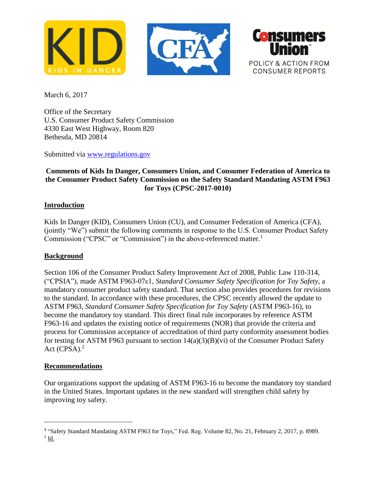



March 6, 2017

Office of the Secretary U.S. Consumer Product Safety Commission 4330 East West Highway, Room 820 Bethesda, MD 20814

Submitted via [www.regulations.gov](http://www.regulations.gov/)

# **Comments of Kids In Danger, Consumers Union, and Consumer Federation of America to the Consumer Product Safety Commission on the Safety Standard Mandating ASTM F963 for Toys (CPSC-2017-0010)**

# **Introduction**

Kids In Danger (KID), Consumers Union (CU), and Consumer Federation of America (CFA), (jointly "We") submit the following comments in response to the U.S. Consumer Product Safety Commission ("CPSC" or "Commission") in the above-referenced matter.<sup>1</sup>

# **Background**

Section 106 of the Consumer Product Safety Improvement Act of 2008, Public Law 110-314, ("CPSIA"), made ASTM F963-07ε1, *Standard Consumer Safety Specification for Toy Safety,* a mandatory consumer product safety standard. That section also provides procedures for revisions to the standard. In accordance with these procedures, the CPSC recently allowed the update to ASTM F963, *Standard Consumer Safety Specification for Toy Safety* (ASTM F963-16), to become the mandatory toy standard. This direct final rule incorporates by reference ASTM F963-16 and updates the existing notice of requirements (NOR) that provide the criteria and process for Commission acceptance of accreditation of third party conformity assessment bodies for testing for ASTM F963 pursuant to section  $14(a)(3)(B)(vi)$  of the Consumer Product Safety Act  $(CPSA)<sup>2</sup>$ 

### **Recommendations**

 $\overline{a}$ 

Our organizations support the updating of ASTM F963-16 to become the mandatory toy standard in the United States. Important updates in the new standard will strengthen child safety by improving toy safety.

<sup>&</sup>lt;sup>1</sup> "Safety Standard Mandating ASTM F963 for Toys," Fed. Reg. Volume 82, No. 21, February 2, 2017, p. 8989.  $2$   $\underline{\text{Id}}$ .